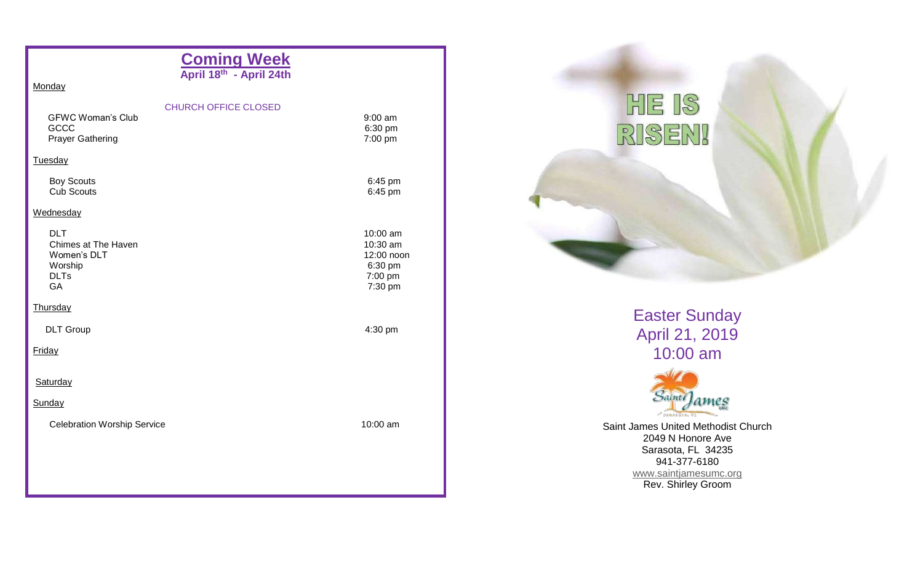| <b>CHURCH OFFICE CLOSED</b>        | $9:00$ am<br>6:30 pm<br>7:00 pm                                     |
|------------------------------------|---------------------------------------------------------------------|
|                                    |                                                                     |
|                                    | 6:45 pm<br>6:45 pm                                                  |
|                                    |                                                                     |
|                                    | 10:00 am<br>10:30 am<br>12:00 noon<br>6:30 pm<br>7:00 pm<br>7:30 pm |
|                                    |                                                                     |
|                                    | 4:30 pm                                                             |
|                                    |                                                                     |
|                                    |                                                                     |
|                                    |                                                                     |
| <b>Celebration Worship Service</b> | 10:00 am                                                            |
|                                    |                                                                     |
|                                    |                                                                     |
|                                    | Coming Week<br>April 18 <sup>th</sup> - April 24th                  |



Easter Sunday April 21, 2019 10:00 am



Saint James United Methodist Church 2049 N Honore Ave Sarasota, FL 34235 941-377-6180 [www.saintjamesumc.org](http://www.saintjamesumc.org/) Rev. Shirley Groom